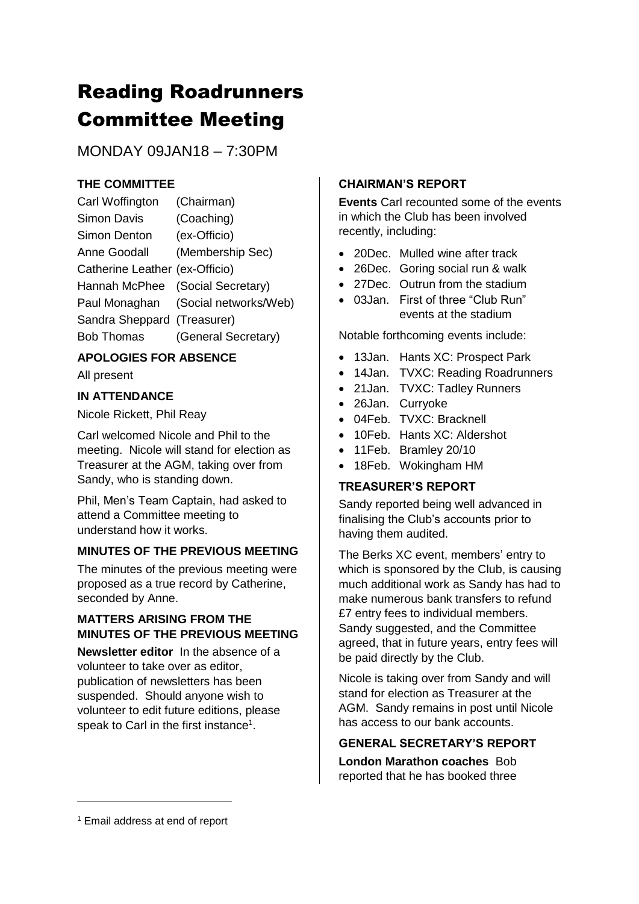# Reading Roadrunners Committee Meeting

MONDAY 09JAN18 – 7:30PM

## **THE COMMITTEE**

| Carl Woffington                  | (Chairman)                          |
|----------------------------------|-------------------------------------|
| Simon Davis                      | (Coaching)                          |
| Simon Denton                     | (ex-Officio)                        |
| Anne Goodall                     | (Membership Sec)                    |
| Catherine Leather (ex-Officio)   |                                     |
| Hannah McPhee (Social Secretary) |                                     |
|                                  | Paul Monaghan (Social networks/Web) |
| Sandra Sheppard (Treasurer)      |                                     |
| <b>Bob Thomas</b>                | (General Secretary)                 |
|                                  |                                     |

## **APOLOGIES FOR ABSENCE**

All present

## **IN ATTENDANCE**

Nicole Rickett, Phil Reay

Carl welcomed Nicole and Phil to the meeting. Nicole will stand for election as Treasurer at the AGM, taking over from Sandy, who is standing down.

Phil, Men's Team Captain, had asked to attend a Committee meeting to understand how it works.

## **MINUTES OF THE PREVIOUS MEETING**

The minutes of the previous meeting were proposed as a true record by Catherine, seconded by Anne.

## **MATTERS ARISING FROM THE MINUTES OF THE PREVIOUS MEETING**

**Newsletter editor** In the absence of a volunteer to take over as editor, publication of newsletters has been suspended. Should anyone wish to volunteer to edit future editions, please speak to Carl in the first instance<sup>1</sup>.

## **CHAIRMAN'S REPORT**

**Events** Carl recounted some of the events in which the Club has been involved recently, including:

- 20Dec. Mulled wine after track
- 26Dec. Goring social run & walk
- 27Dec. Outrun from the stadium
- 03 Jan. First of three "Club Run" events at the stadium

Notable forthcoming events include:

- 13Jan. Hants XC: Prospect Park
- 14Jan. TVXC: Reading Roadrunners
- 21Jan. TVXC: Tadley Runners
- 26Jan. Curryoke
- 04Feb. TVXC: Bracknell
- 10Feb. Hants XC: Aldershot
- 11Feb. Bramley 20/10
- 18Feb. Wokingham HM

## **TREASURER'S REPORT**

Sandy reported being well advanced in finalising the Club's accounts prior to having them audited.

The Berks XC event, members' entry to which is sponsored by the Club, is causing much additional work as Sandy has had to make numerous bank transfers to refund £7 entry fees to individual members. Sandy suggested, and the Committee agreed, that in future years, entry fees will be paid directly by the Club.

Nicole is taking over from Sandy and will stand for election as Treasurer at the AGM. Sandy remains in post until Nicole has access to our bank accounts.

## **GENERAL SECRETARY'S REPORT**

**London Marathon coaches** Bob reported that he has booked three

-

<sup>1</sup> Email address at end of report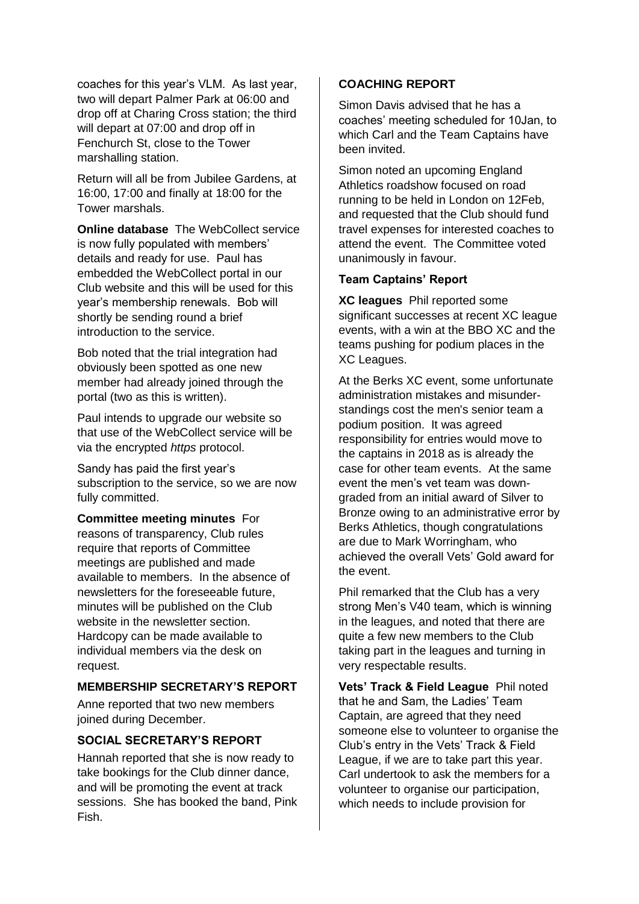coaches for this year's VLM. As last year, two will depart Palmer Park at 06:00 and drop off at Charing Cross station; the third will depart at 07:00 and drop off in Fenchurch St, close to the Tower marshalling station.

Return will all be from Jubilee Gardens, at 16:00, 17:00 and finally at 18:00 for the Tower marshals.

**Online database** The WebCollect service is now fully populated with members' details and ready for use. Paul has embedded the WebCollect portal in our Club website and this will be used for this year's membership renewals. Bob will shortly be sending round a brief introduction to the service.

Bob noted that the trial integration had obviously been spotted as one new member had already joined through the portal (two as this is written).

Paul intends to upgrade our website so that use of the WebCollect service will be via the encrypted *https* protocol.

Sandy has paid the first year's subscription to the service, so we are now fully committed.

**Committee meeting minutes** For reasons of transparency, Club rules require that reports of Committee meetings are published and made available to members. In the absence of newsletters for the foreseeable future, minutes will be published on the Club website in the newsletter section. Hardcopy can be made available to individual members via the desk on request.

#### **MEMBERSHIP SECRETARY'S REPORT**

Anne reported that two new members joined during December.

#### **SOCIAL SECRETARY'S REPORT**

Hannah reported that she is now ready to take bookings for the Club dinner dance, and will be promoting the event at track sessions. She has booked the band, Pink Fish.

#### **COACHING REPORT**

Simon Davis advised that he has a coaches' meeting scheduled for 10Jan, to which Carl and the Team Captains have been invited.

Simon noted an upcoming England Athletics roadshow focused on road running to be held in London on 12Feb, and requested that the Club should fund travel expenses for interested coaches to attend the event. The Committee voted unanimously in favour.

#### **Team Captains' Report**

**XC leagues** Phil reported some significant successes at recent XC league events, with a win at the BBO XC and the teams pushing for podium places in the XC Leagues.

At the Berks XC event, some unfortunate administration mistakes and misunderstandings cost the men's senior team a podium position. It was agreed responsibility for entries would move to the captains in 2018 as is already the case for other team events. At the same event the men's vet team was downgraded from an initial award of Silver to Bronze owing to an administrative error by Berks Athletics, though congratulations are due to Mark Worringham, who achieved the overall Vets' Gold award for the event.

Phil remarked that the Club has a very strong Men's V40 team, which is winning in the leagues, and noted that there are quite a few new members to the Club taking part in the leagues and turning in very respectable results.

**Vets' Track & Field League** Phil noted that he and Sam, the Ladies' Team Captain, are agreed that they need someone else to volunteer to organise the Club's entry in the Vets' Track & Field League, if we are to take part this year. Carl undertook to ask the members for a volunteer to organise our participation, which needs to include provision for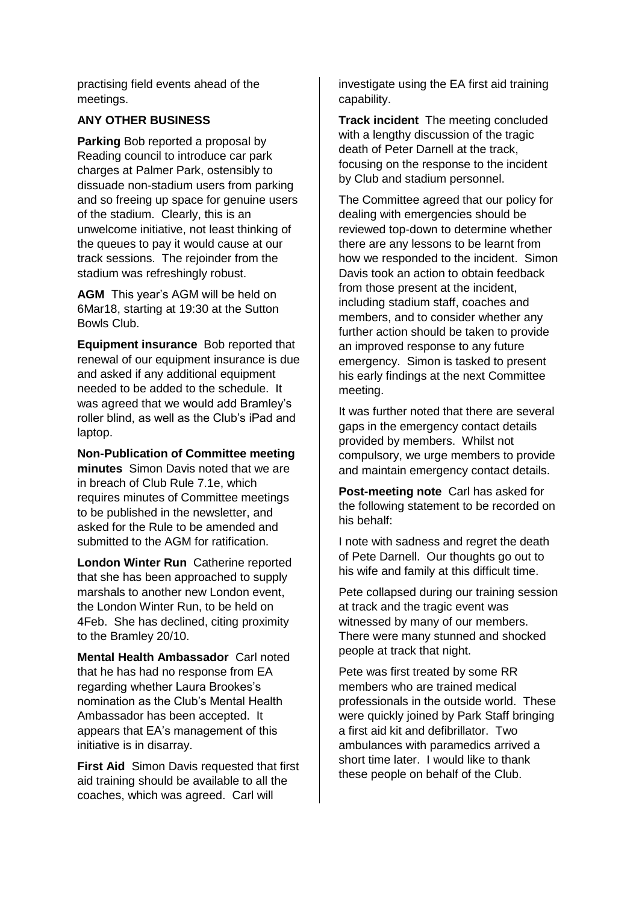practising field events ahead of the meetings.

#### **ANY OTHER BUSINESS**

**Parking** Bob reported a proposal by Reading council to introduce car park charges at Palmer Park, ostensibly to dissuade non-stadium users from parking and so freeing up space for genuine users of the stadium. Clearly, this is an unwelcome initiative, not least thinking of the queues to pay it would cause at our track sessions. The rejoinder from the stadium was refreshingly robust.

**AGM** This year's AGM will be held on 6Mar18, starting at 19:30 at the Sutton Bowls Club.

**Equipment insurance** Bob reported that renewal of our equipment insurance is due and asked if any additional equipment needed to be added to the schedule. It was agreed that we would add Bramley's roller blind, as well as the Club's iPad and laptop.

**Non-Publication of Committee meeting minutes** Simon Davis noted that we are in breach of Club Rule 7.1e, which requires minutes of Committee meetings to be published in the newsletter, and asked for the Rule to be amended and submitted to the AGM for ratification.

**London Winter Run** Catherine reported that she has been approached to supply marshals to another new London event, the London Winter Run, to be held on 4Feb. She has declined, citing proximity to the Bramley 20/10.

**Mental Health Ambassador** Carl noted that he has had no response from EA regarding whether Laura Brookes's nomination as the Club's Mental Health Ambassador has been accepted. It appears that EA's management of this initiative is in disarray.

**First Aid** Simon Davis requested that first aid training should be available to all the coaches, which was agreed. Carl will

investigate using the EA first aid training capability.

**Track incident** The meeting concluded with a lengthy discussion of the tragic death of Peter Darnell at the track, focusing on the response to the incident by Club and stadium personnel.

The Committee agreed that our policy for dealing with emergencies should be reviewed top-down to determine whether there are any lessons to be learnt from how we responded to the incident. Simon Davis took an action to obtain feedback from those present at the incident, including stadium staff, coaches and members, and to consider whether any further action should be taken to provide an improved response to any future emergency. Simon is tasked to present his early findings at the next Committee meeting.

It was further noted that there are several gaps in the emergency contact details provided by members. Whilst not compulsory, we urge members to provide and maintain emergency contact details.

**Post-meeting note** Carl has asked for the following statement to be recorded on his behalf:

I note with sadness and regret the death of Pete Darnell. Our thoughts go out to his wife and family at this difficult time.

Pete collapsed during our training session at track and the tragic event was witnessed by many of our members. There were many stunned and shocked people at track that night.

Pete was first treated by some RR members who are trained medical professionals in the outside world. These were quickly joined by Park Staff bringing a first aid kit and defibrillator. Two ambulances with paramedics arrived a short time later. I would like to thank these people on behalf of the Club.